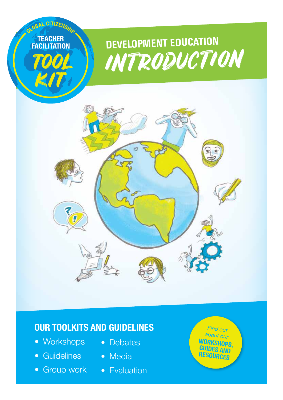

## **Our toolkits and guidelines**

- Workshops Debates
- Guidelines Media
- Group work Evaluation
- 
- -

*Find out about our* **WORKSHOPS,<br>GUIDES AND resources**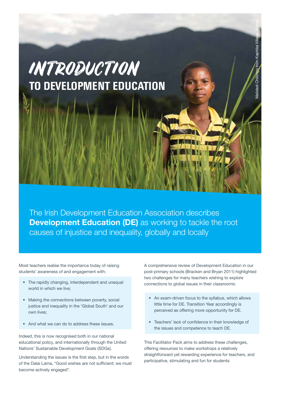# Malidadi Chilongo from Kaphika Village, Malawi from Kaphika Vill Introduction alidadi Chilon **to Development Education**

The Irish Development Education Association describes **Development Education (DE)** as working to tackle the root causes of injustice and inequality, globally and locally

Most teachers realise the importance today of raising students' awareness of and engagement with:

- The rapidly changing, interdependent and unequal world in which we live;
- Making the connections between poverty, social justice and inequality in the 'Global South' and our own lives;
- And what we can do to address these issues.

Indeed, this is now recognised both in our national educational policy, and internationally through the United Nations' Sustainable Development Goals (SDGs).

Understanding the issues is the first step, but in the words of the Dalai Lama, "Good wishes are not sufficient; we must become actively engaged".

A comprehensive review of Development Education in our post-primary schools (Bracken and Bryan 2011) highlighted two challenges for many teachers wishing to explore connections to global issues in their classrooms:

- An exam-driven focus to the syllabus, which allows little time for DE. Transition Year accordingly is perceived as offering more opportunity for DE.
- Teachers' lack of confidence in their knowledge of the issues and competence to teach DE.

This Facilitator Pack aims to address these challenges, offering resources to make workshops a relatively straightforward yet rewarding experience for teachers, and participative, stimulating and fun for students.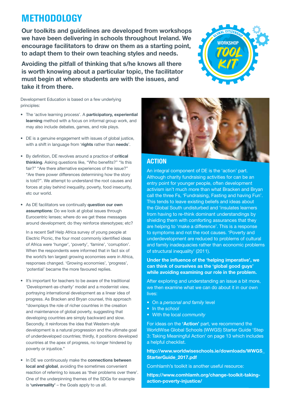# **Methodology**

Our toolkits and guidelines are developed from workshops we have been delivering in schools throughout Ireland. We encourage facilitators to draw on them as a starting point, to adapt them to their own teaching styles and needs.

Avoiding the pitfall of thinking that s/he knows all there is worth knowing about a particular topic, the facilitator must begin at where students are with the issues, and take it from there.



Development Education is based on a few underlying principles:

- The 'active learning process'. A participatory, experiential learning method with a focus on informal group work, and may also include debates, games, and role plays.
- DE is a genuine engagement with issues of global justice, with a shift in language from 'rights rather than needs'.
- By definition, DE revolves around a practice of critical thinking. Asking questions like, "Who benefits?" "Is this fair?" "Are there alternative experiences of the issue?" "Are there power differences determining how the story is told?". We attempt to understand the root causes and forces at play behind inequality, poverty, food insecurity, etc our world.
- As DE facilitators we continually question our own assumptions: Do we look at global issues through Eurocentric lenses; where do we get these messages around development; do they reinforce stereotypes; etc?

In a recent Self Help Africa survey of young people at Electric Picnic, the four most commonly identified ideas of Africa were 'hunger', 'poverty', 'famine', 'corruption'. When the respondents were informed that in fact six of the world's ten largest growing economies were in Africa, responses changed. 'Growing economies', 'progress', 'potential' became the more favoured replies.

- It's important for teachers to be aware of the traditional 'Development-as-charity' model and a modernist view, portraying international development as a linear idea of progress. As Bracken and Bryan counsel, this approach "downplays the role of richer countries in the creation and maintenance of global poverty, suggesting that developing countries are simply backward and slow. Secondly, it reinforces the idea that Western-style development is a natural progression and the ultimate goal of underdeveloped countries; thirdly, it positions developed countries at the apex of progress, no longer hindered by poverty or injustice."
- In DE we continuously make the connections between local and global, avoiding the sometimes convenient reaction of referring to issues as 'their problems over there'. One of the underpinning themes of the SDGs for example is 'universality' – the Goals apply to us all.



## **Action**

An integral component of DE is the 'action' part. Although charity fundraising activities for can be an entry point for younger people, often development activism isn't much more than what Bracken and Bryan call the three Fs, 'Fundraising, Fasting and having Fun'. This tends to leave existing beliefs and ideas about the Global South undisturbed and 'insulates learners from having to re-think dominant understandings by shielding them with comforting assurances that they are helping to 'make a difference'. This is a response to symptoms and not the root causes. 'Poverty and underdevelopment are reduced to problems of cultural and family inadequacies rather than economic problems of structural inequality' (2011).

Under the influence of the 'helping imperative', we can think of ourselves as the 'global good guys' while avoiding examining our role in the problem.

After exploring and understanding an issue a bit more, we then examine what we can do about it in our own lives:

- • On a *personal and family* level
- • In the *school*
- • With the local *community*

For ideas on the 'Action' part, we recommend the WorldWise Global Schools (WWGS) Starter Guide 'Step 3: Taking Meaningful Action' on page 13 which includes a helpful checklist.

http://www.worldwiseschools.ie/downloads/WWGS\_ StarterGuide\_2017.pdf

Comhlamh's toolkit is another useful resource:

https://www.comhlamh.org/change-toolkit-takingaction-poverty-injustice/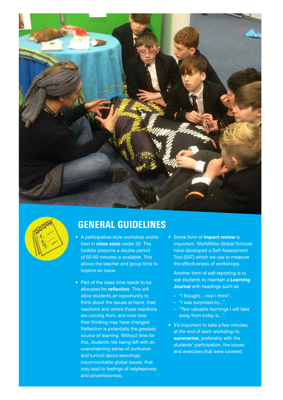



## **General Guidelines**

- A participative-style workshop works best in class sizes under 30. The toolkits presume a double period of 60-80 minutes is available. This allows the teacher and group time to explore an issue.
- Part of the class time needs to be allocated for reflection. This will allow students an opportunity to think about the issues at hand, their reactions and where those reactions are coming from, and note how their thinking may have changed. Reflection is potentially the greatest source of learning. Without time for this, students risk being left with an overwhelming sense of confusion and turmoil about seemingly insurmountable global issues, that may lead to feelings of helplessness and powerlessness.
- Some form of **impact review** is important. WorldWise Global Schools have developed a Self-Assessment Tool (SAT) which we use to measure the effectiveness of workshops.

Another form of self-reporting is to ask students to maintain a Learning **Journal** with headings such as

- "I thought... now I think",
- "I was surprised by...",
- "Two valuable learnings I will take away from today is..."
- It's important to take a few minutes at the end of each workshop to summarise, preferably with the students' participation, the issues and exercises that were covered.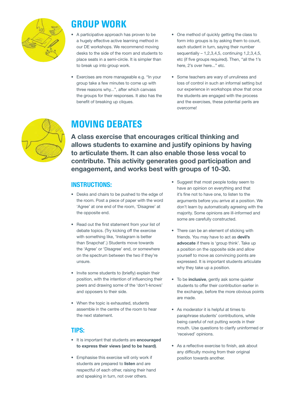

# **Group Work**

- A participative approach has proven to be a hugely effective active learning method in our DE workshops. We recommend moving desks to the side of the room and students to place seats in a semi-circle. It is simpler than to break up into group work.
- Exercises are more manageable e.g. "In your group take a few minutes to come up with three reasons why...", after which canvass the groups for their responses. It also has the benefit of breaking up cliques.
- One method of quickly getting the class to form into groups is by asking them to count, each student in turn, saying their number sequentially – 1,2,3,4,5, continuing 1,2,3,4,5, etc (if five groups required). Then, "all the 1's here, 2's over here..." etc.
- Some teachers are wary of unruliness and loss of control in such an informal setting but our experience in workshops show that once the students are engaged with the process and the exercises, these potential perils are overcome!



# **Moving Debates**

A class exercise that encourages critical thinking and allows students to examine and justify opinions by having to articulate them. It can also enable those less vocal to contribute. This activity generates good participation and engagement, and works best with groups of 10-30.

## **Instructions:**

- • Desks and chairs to be pushed to the edge of the room. Post a piece of paper with the word 'Agree' at one end of the room, 'Disagree' at the opposite end.
- Read out the first statement from your list of debate topics. (Try kicking off the exercise with something like, 'Instagram is better than Snapchat'.) Students move towards the 'Agree' or 'Disagree' end, or somewhere on the spectrum between the two if they're unsure.
- Invite some students to (briefly) explain their position, with the intention of influencing their peers and drawing some of the 'don't-knows' and opposers to their side.
- When the topic is exhausted, students assemble in the centre of the room to hear the next statement.

## **Tips:**

- It is important that students are encouraged to express their views (and to be heard).
- Emphasise this exercise will only work if students are prepared to listen and are respectful of each other, raising their hand and speaking in turn, not over others.
- Suggest that most people today seem to have an opinion on everything and that it's fine not to have one, to listen to the arguments before you arrive at a position. We don't learn by automatically agreeing with the majority. Some opinions are ill-informed and some are carefully constructed.
- There can be an element of sticking with friends. You may have to act as **devil's** advocate if there is 'group think'. Take up a position on the opposite side and allow yourself to move as convincing points are expressed. It is important students articulate why they take up a position.
- To be inclusive, gently ask some quieter students to offer their contribution earlier in the exchange, before the more obvious points are made.
- • As moderator it is helpful at times to paraphrase students' contributions, while being careful of not putting words in their mouth. Use questions to clarify uninformed or 'received' opinions.
- As a reflective exercise to finish, ask about any difficulty moving from their original position towards another.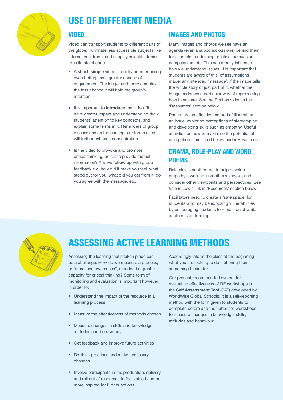

# **Use of Different Media**

## **Video**

Video can transport students to different parts of the globe, illuminate less accessible subjects like international trade, and simplify scientific topics like climate change.

- A short, simple video (if quirky or entertaining even better) has a greater chance of engagement. The longer and more complex, the less chance it will hold the group's attention.
- It is important to *introduce* the video. To have greater impact and understanding draw students' attention to key concepts, and explain some terms in it. Reminders of group discussions on the concepts or terms used will further enhance concentration
- Is the video to provoke and promote critical thinking, or is it to provide factual information? Always **follow up** with group feedback e.g. how did it make you feel, what stood out for you, what did you get from it, do you agree with the message, etc.

## **Images and Photos**

Many images and photos we see have an agenda (even a subconscious one) behind them, for example, fundraising, political persuasion, campaigning, etc. This can greatly influence how we understand issues. It is important that students are aware of this, of assumptions made, any intended 'message', if the image tells the whole story or just part of it, whether the image endorses a particular way of representing how things are. See the Dóchas video in the 'Resources' section below.

Photos are an effective method of illustrating an issue, exploring perceptions of stereotyping, and developing skills such as empathy. Useful activities on how to maximise the potential of using photos are listed below under Resources.

## **Drama, Role-play and Word Poems**

Role play is another tool to help develop empathy – walking in another's shoes – and consider other viewpoints and perspectives. See Valerie Lewis link in 'Resources' section below.

Facilitators need to create a 'safe space' for students who may be exposing vulnerabilities by encouraging students to remain quiet while another is performing.



# **Assessing Active Learning Methods**

Assessing the learning that's taken place can be a challenge. How do we measure a process, or "increased awareness", or indeed a greater capacity for critical thinking? Some form of monitoring and evaluation is important however in order to:

- Understand the impact of the resource in a learning process
- Measure the effectiveness of methods chosen
- Measure changes in skills and knowledge. attitudes and behaviours
- • Get feedback and improve future activities
- Re-think practices and make necessary changes
- Involve participants in the production, delivery and roll out of resources to feel valued and be more inspired for further actions

Accordingly inform the class at the beginning what you are looking to do – offering them something to aim for.

Our present recommended system for evaluating effectiveness of DE workshops is the Self Assessment Tool (SAT) developed by WorldWise Global Schools. It is a self-reporting method with the form given to students to complete before and then after the workshops, to measure changes in knowledge, skills, attitudes and behaviour.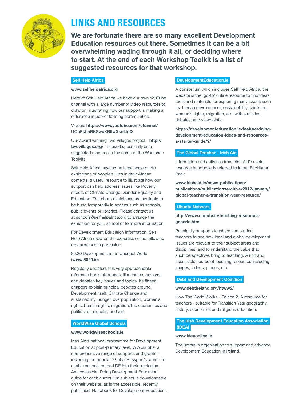

# **Links and Resources**

We are fortunate there are so many excellent Development Education resources out there. Sometimes it can be a bit overwhelming wading through it all, or deciding where to start. At the end of each Workshop Toolkit is a list of suggested resources for that workshop.

#### Self Help Africa

#### www.selfhelpafrica.org

Here at Self Help Africa we have our own YouTube channel with a large number of video resources to draw on, illustrating how our support is making a difference in poorer farming communities.

#### Videos: https://www.youtube.com/channel/ UCoFtJihBK8wxXB5wXsnI4cQ

Our award winning Two Villages project - http:// twovillages.org/ - is used specifically as a suggested resource in the some of the Workshop Toolkits.

Self Help Africa have some large scale photo exhibitions of people's lives in their African contexts, a useful resource to illustrate how our support can help address issues like Poverty, effects of Climate Change, Gender Equality and Education. The photo exhibitions are available to be hung temporarily in spaces such as schools, public events or libraries. Please contact us at schools@selfhelpafrica.org to arrange the exhibition for your school or for more information.

For Development Education information, Self Help Africa draw on the expertise of the following organisations in particular:

80:20 Development in an Unequal World (www.8020.ie)

Regularly updated, this very approachable reference book introduces, illuminates, explores and debates key issues and topics. Its fifteen chapters explain principal debates around Development itself, Climate Change and sustainability, hunger, overpopulation, women's rights, human rights, migration, the economics and politics of inequality and aid.

#### WorldWise Global Schools

#### www.worldwiseschools.ie

Irish Aid's national programme for Development Education at post-primary level. WWGS offer a comprehensive range of supports and grants including the popular 'Global Passport' award - to enable schools embed DE into their curriculum. An accessible 'Doing Development Education' guide for each curriculum subject is downloadable on their website, as is the accessible, recently published 'Handbook for Development Education'.

#### DevelopmentEducation.ie

A consortium which includes Self Help Africa, the website is the 'go-to' online resource to find ideas, tools and materials for exploring many issues such as: human development, sustainability, fair trade, women's rights, migration, etc. with statistics, debates, and viewpoints.

https://developmenteducation.ie/feature/doingdevelopment-education-ideas-and-resourcesa-starter-guide/9/

#### The Global Teacher – Irish Aid

Information and activities from Irish Aid's useful resource handbook is referred to in our Facilitator Pack.

www.irishaid.ie/news-publications/ publications/publicationsarchive/2012/january/ global-teacher-a-transition-year-resource/

#### Ubuntu Network

#### http://www.ubuntu.ie/teaching-resourcesgeneric.html

Principally supports teachers and student teachers to see how local and global development issues are relevant to their subject areas and disciplines, and to understand the value that such perspectives bring to teaching. A rich and accessible source of teaching resources including images, videos, games, etc.

#### Debt and Development Coalition

#### www.debtireland.org/htww2/

How The World Works - Edition 2. A resource for teachers - suitable for Transition Year geography, history, economics and religious education.

#### The Irish Development Education Association (IDEA)

#### www.ideaonline.ie

The umbrella organisation to support and advance Development Education in Ireland.